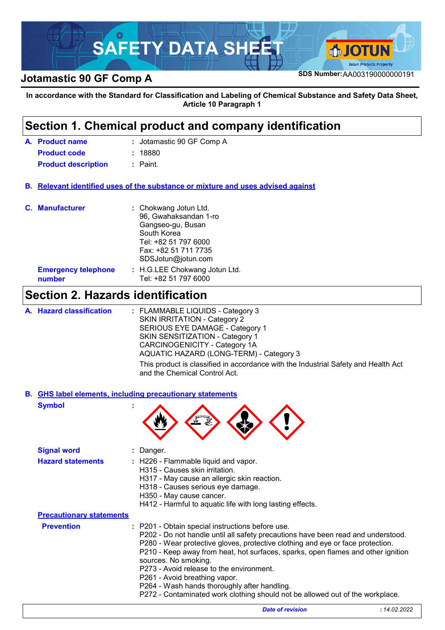

**SDS Number:**AA003190000000191 **Jotamastic 90 GF Comp A**

**In accordance with the Standard for Classification and Labeling of Chemical Substance and Safety Data Sheet, Article 10 Paragraph 1**

### Jotamastic 90 GF Comp A **:** H.G.LEE Chokwang Jotun Ltd. **:** Tel: +82 51 797 6000 **Product name A. Emergency telephone number Section 1. Chemical product and company identification Relevant identified uses of the substance or mixture and uses advised against B. C. Manufacturer :** Chokwang Jotun Ltd. 96, Gwahaksandan 1-ro Gangseo-gu, Busan South Korea Tel: +82 51 797 6000 Fax: +82 51 711 7735 SDSJotun@jotun.com **Product code :** 18880 **Product description :** Paint. **Section 2. Hazards identification** : FLAMMABLE LIQUIDS - Category 3 SKIN IRRITATION - Category 2 SERIOUS EYE DAMAGE - Category 1 SKIN SENSITIZATION - Category 1 CARCINOGENICITY - Category 1A AQUATIC HAZARD (LONG-TERM) - Category 3 **Hazard classification : A. Signal word :** Danger. **Hazard statements :** H226 - Flammable liquid and vapor. H315 - Causes skin irritation. H317 - May cause an allergic skin reaction. H318 - Causes serious eye damage. H350 - May cause cancer. H412 - Harmful to aquatic life with long lasting effects. **Symbol : GHS label elements, including precautionary statements B.** This product is classified in accordance with the Industrial Safety and Health Act and the Chemical Control Act.

|                                 | H412 - Harmful to aquatic life with long lasting effects.                                                                                                                                                                                                                                                                                                                                                                                                                                                                                        |
|---------------------------------|--------------------------------------------------------------------------------------------------------------------------------------------------------------------------------------------------------------------------------------------------------------------------------------------------------------------------------------------------------------------------------------------------------------------------------------------------------------------------------------------------------------------------------------------------|
| <b>Precautionary statements</b> |                                                                                                                                                                                                                                                                                                                                                                                                                                                                                                                                                  |
| <b>Prevention</b>               | : P201 - Obtain special instructions before use.<br>P202 - Do not handle until all safety precautions have been read and understood.<br>P280 - Wear protective gloves, protective clothing and eye or face protection.<br>P210 - Keep away from heat, hot surfaces, sparks, open flames and other ignition<br>sources. No smoking.<br>P273 - Avoid release to the environment.<br>P261 - Avoid breathing vapor.<br>P264 - Wash hands thoroughly after handling.<br>P272 - Contaminated work clothing should not be allowed out of the workplace. |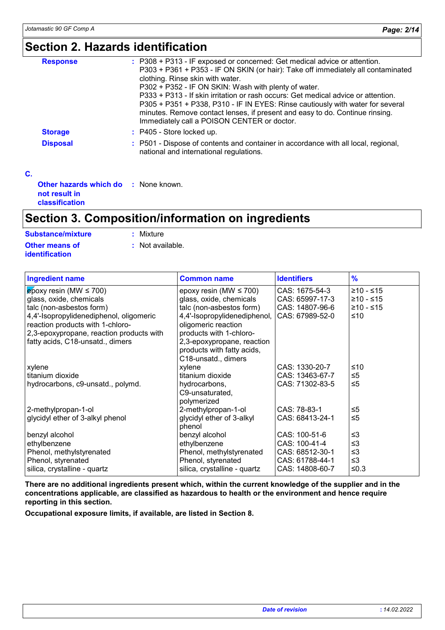### **Section 2. Hazards identification**

|                 | : P308 + P313 - IF exposed or concerned: Get medical advice or attention.                                                                                                                                                                                                                          |
|-----------------|----------------------------------------------------------------------------------------------------------------------------------------------------------------------------------------------------------------------------------------------------------------------------------------------------|
| <b>Response</b> | P303 + P361 + P353 - IF ON SKIN (or hair): Take off immediately all contaminated<br>clothing. Rinse skin with water.<br>P302 + P352 - IF ON SKIN: Wash with plenty of water.                                                                                                                       |
|                 | P333 + P313 - If skin irritation or rash occurs: Get medical advice or attention.<br>P305 + P351 + P338, P310 - IF IN EYES: Rinse cautiously with water for several<br>minutes. Remove contact lenses, if present and easy to do. Continue rinsing.<br>Immediately call a POISON CENTER or doctor. |
| <b>Storage</b>  | : P405 - Store locked up.                                                                                                                                                                                                                                                                          |
| <b>Disposal</b> | : P501 - Dispose of contents and container in accordance with all local, regional,<br>national and international regulations.                                                                                                                                                                      |
|                 |                                                                                                                                                                                                                                                                                                    |

| <b>Other hazards which do : None known.</b><br>not result in |  |
|--------------------------------------------------------------|--|
| classification                                               |  |

### **Section 3. Composition/information on ingredients**

| <b>Substance/mixture</b> | : Mixture        |
|--------------------------|------------------|
| <b>Other means of</b>    | : Not available. |
| identification           |                  |

| <b>Ingredient name</b>                   | <b>Common name</b>           | <b>Identifiers</b> | $\frac{9}{6}$ |
|------------------------------------------|------------------------------|--------------------|---------------|
| $\epsilon$ poxy resin (MW $\leq$ 700)    | epoxy resin (MW $\leq$ 700)  | CAS: 1675-54-3     | $≥10 - ≤15$   |
| glass, oxide, chemicals                  | glass, oxide, chemicals      | CAS: 65997-17-3    | $≥10 - ≤15$   |
| talc (non-asbestos form)                 | talc (non-asbestos form)     | CAS: 14807-96-6    | $≥10 - ≤15$   |
| 4,4'-Isopropylidenediphenol, oligomeric  | 4,4'-Isopropylidenediphenol, | CAS: 67989-52-0    | ≤10           |
| reaction products with 1-chloro-         | oligomeric reaction          |                    |               |
| 2,3-epoxypropane, reaction products with | products with 1-chloro-      |                    |               |
| fatty acids, C18-unsatd., dimers         | 2,3-epoxypropane, reaction   |                    |               |
|                                          | products with fatty acids,   |                    |               |
|                                          | C18-unsatd., dimers          |                    |               |
| xylene                                   | xylene                       | CAS: 1330-20-7     | ≤10           |
| titanium dioxide                         | titanium dioxide             | CAS: 13463-67-7    | $\leq 5$      |
| hydrocarbons, c9-unsatd., polymd.        | hydrocarbons,                | CAS: 71302-83-5    | $\leq 5$      |
|                                          | C9-unsaturated,              |                    |               |
|                                          | polymerized                  |                    |               |
| 2-methylpropan-1-ol                      | 2-methylpropan-1-ol          | CAS: 78-83-1       | ≤5            |
| glycidyl ether of 3-alkyl phenol         | glycidyl ether of 3-alkyl    | CAS: 68413-24-1    | $\leq 5$      |
|                                          | phenol                       |                    |               |
| benzyl alcohol                           | benzyl alcohol               | CAS: 100-51-6      | $\leq$ 3      |
| ethylbenzene                             | ethylbenzene                 | CAS: 100-41-4      | $\leq$ 3      |
| Phenol, methylstyrenated                 | Phenol, methylstyrenated     | CAS: 68512-30-1    | $\leq$ 3      |
| Phenol, styrenated                       | Phenol, styrenated           | CAS: 61788-44-1    | $\leq$ 3      |
| silica, crystalline - quartz             | silica, crystalline - quartz | CAS: 14808-60-7    | $≤0.3$        |

**There are no additional ingredients present which, within the current knowledge of the supplier and in the concentrations applicable, are classified as hazardous to health or the environment and hence require reporting in this section.**

**Occupational exposure limits, if available, are listed in Section 8.**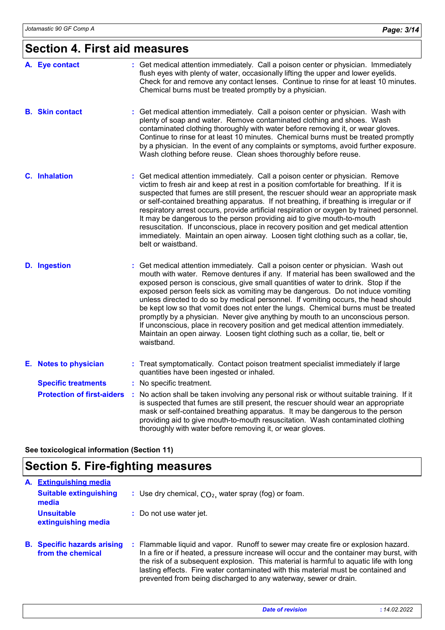# **Section 4. First aid measures**

| A. Eye contact                    | : Get medical attention immediately. Call a poison center or physician. Immediately<br>flush eyes with plenty of water, occasionally lifting the upper and lower eyelids.<br>Check for and remove any contact lenses. Continue to rinse for at least 10 minutes.<br>Chemical burns must be treated promptly by a physician.                                                                                                                                                                                                                                                                                                                                                                                                                                                                    |
|-----------------------------------|------------------------------------------------------------------------------------------------------------------------------------------------------------------------------------------------------------------------------------------------------------------------------------------------------------------------------------------------------------------------------------------------------------------------------------------------------------------------------------------------------------------------------------------------------------------------------------------------------------------------------------------------------------------------------------------------------------------------------------------------------------------------------------------------|
| <b>B.</b> Skin contact            | : Get medical attention immediately. Call a poison center or physician. Wash with<br>plenty of soap and water. Remove contaminated clothing and shoes. Wash<br>contaminated clothing thoroughly with water before removing it, or wear gloves.<br>Continue to rinse for at least 10 minutes. Chemical burns must be treated promptly<br>by a physician. In the event of any complaints or symptoms, avoid further exposure.<br>Wash clothing before reuse. Clean shoes thoroughly before reuse.                                                                                                                                                                                                                                                                                                |
| <b>C.</b> Inhalation              | Get medical attention immediately. Call a poison center or physician. Remove<br>victim to fresh air and keep at rest in a position comfortable for breathing. If it is<br>suspected that fumes are still present, the rescuer should wear an appropriate mask<br>or self-contained breathing apparatus. If not breathing, if breathing is irregular or if<br>respiratory arrest occurs, provide artificial respiration or oxygen by trained personnel.<br>It may be dangerous to the person providing aid to give mouth-to-mouth<br>resuscitation. If unconscious, place in recovery position and get medical attention<br>immediately. Maintain an open airway. Loosen tight clothing such as a collar, tie,<br>belt or waistband.                                                            |
| <b>D.</b> Ingestion               | : Get medical attention immediately. Call a poison center or physician. Wash out<br>mouth with water. Remove dentures if any. If material has been swallowed and the<br>exposed person is conscious, give small quantities of water to drink. Stop if the<br>exposed person feels sick as vomiting may be dangerous. Do not induce vomiting<br>unless directed to do so by medical personnel. If vomiting occurs, the head should<br>be kept low so that vomit does not enter the lungs. Chemical burns must be treated<br>promptly by a physician. Never give anything by mouth to an unconscious person.<br>If unconscious, place in recovery position and get medical attention immediately.<br>Maintain an open airway. Loosen tight clothing such as a collar, tie, belt or<br>waistband. |
| E. Notes to physician             | : Treat symptomatically. Contact poison treatment specialist immediately if large<br>quantities have been ingested or inhaled.                                                                                                                                                                                                                                                                                                                                                                                                                                                                                                                                                                                                                                                                 |
| <b>Specific treatments</b>        | : No specific treatment.                                                                                                                                                                                                                                                                                                                                                                                                                                                                                                                                                                                                                                                                                                                                                                       |
| <b>Protection of first-aiders</b> | No action shall be taken involving any personal risk or without suitable training. If it<br>is suspected that fumes are still present, the rescuer should wear an appropriate<br>mask or self-contained breathing apparatus. It may be dangerous to the person<br>providing aid to give mouth-to-mouth resuscitation. Wash contaminated clothing<br>thoroughly with water before removing it, or wear gloves.                                                                                                                                                                                                                                                                                                                                                                                  |

**See toxicological information (Section 11)**

# **Section 5. Fire-fighting measures**

| A. | <b>Extinguishing media</b>                              |                                                                                                                                                                                                                                                                                                                                                                                                                                   |
|----|---------------------------------------------------------|-----------------------------------------------------------------------------------------------------------------------------------------------------------------------------------------------------------------------------------------------------------------------------------------------------------------------------------------------------------------------------------------------------------------------------------|
|    | <b>Suitable extinguishing</b><br>media                  | : Use dry chemical, $CO2$ , water spray (fog) or foam.                                                                                                                                                                                                                                                                                                                                                                            |
|    | <b>Unsuitable</b><br>extinguishing media                | : Do not use water jet.                                                                                                                                                                                                                                                                                                                                                                                                           |
|    | <b>B.</b> Specific hazards arising<br>from the chemical | : Flammable liquid and vapor. Runoff to sewer may create fire or explosion hazard.<br>In a fire or if heated, a pressure increase will occur and the container may burst, with<br>the risk of a subsequent explosion. This material is harmful to aquatic life with long<br>lasting effects. Fire water contaminated with this material must be contained and<br>prevented from being discharged to any waterway, sewer or drain. |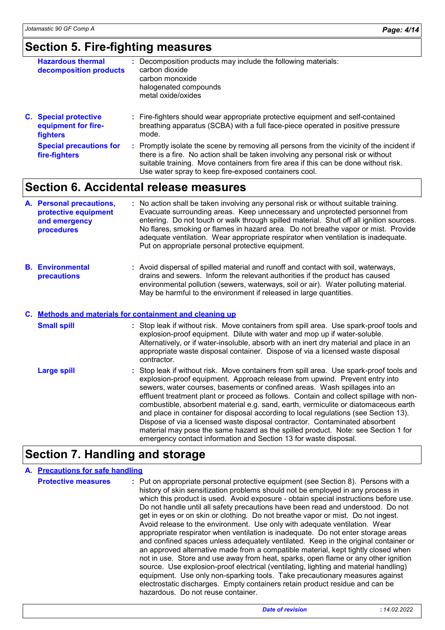### **Section 5. Fire-fighting measures**

| <b>Hazardous thermal</b><br>decomposition products                     | Decomposition products may include the following materials:<br>carbon dioxide<br>carbon monoxide<br>halogenated compounds<br>metal oxide/oxides                                                                                                                      |
|------------------------------------------------------------------------|----------------------------------------------------------------------------------------------------------------------------------------------------------------------------------------------------------------------------------------------------------------------|
| <b>C.</b> Special protective<br>equipment for fire-<br><b>fighters</b> | : Fire-fighters should wear appropriate protective equipment and self-contained<br>breathing apparatus (SCBA) with a full face-piece operated in positive pressure<br>mode.                                                                                          |
| <b>Special precautions for</b><br>fire-fighters                        | : Promptly isolate the scene by removing all persons from the vicinity of the incident if<br>there is a fire. No action shall be taken involving any personal risk or without<br>suitable training. Move containers from fire area if this can be done without risk. |

### **Section 6. Accidental release measures**

|  | A. Personal precautions,<br>protective equipment<br>and emergency<br>procedures | : No action shall be taken involving any personal risk or without suitable training.<br>Evacuate surrounding areas. Keep unnecessary and unprotected personnel from<br>entering. Do not touch or walk through spilled material. Shut off all ignition sources.<br>No flares, smoking or flames in hazard area. Do not breathe vapor or mist. Provide<br>adequate ventilation. Wear appropriate respirator when ventilation is inadequate.<br>Put on appropriate personal protective equipment. |
|--|---------------------------------------------------------------------------------|------------------------------------------------------------------------------------------------------------------------------------------------------------------------------------------------------------------------------------------------------------------------------------------------------------------------------------------------------------------------------------------------------------------------------------------------------------------------------------------------|
|--|---------------------------------------------------------------------------------|------------------------------------------------------------------------------------------------------------------------------------------------------------------------------------------------------------------------------------------------------------------------------------------------------------------------------------------------------------------------------------------------------------------------------------------------------------------------------------------------|

Use water spray to keep fire-exposed containers cool.

**Environmental B. precautions :** Avoid dispersal of spilled material and runoff and contact with soil, waterways, drains and sewers. Inform the relevant authorities if the product has caused environmental pollution (sewers, waterways, soil or air). Water polluting material. May be harmful to the environment if released in large quantities.

#### **Methods and materials for containment and cleaning up C.**

| <b>Small spill</b> | : Stop leak if without risk. Move containers from spill area. Use spark-proof tools and<br>explosion-proof equipment. Dilute with water and mop up if water-soluble.<br>Alternatively, or if water-insoluble, absorb with an inert dry material and place in an<br>appropriate waste disposal container. Dispose of via a licensed waste disposal<br>contractor.                                                                                                                                                                                                                                                                                                                                                                                                      |
|--------------------|-----------------------------------------------------------------------------------------------------------------------------------------------------------------------------------------------------------------------------------------------------------------------------------------------------------------------------------------------------------------------------------------------------------------------------------------------------------------------------------------------------------------------------------------------------------------------------------------------------------------------------------------------------------------------------------------------------------------------------------------------------------------------|
| <b>Large spill</b> | : Stop leak if without risk. Move containers from spill area. Use spark-proof tools and<br>explosion-proof equipment. Approach release from upwind. Prevent entry into<br>sewers, water courses, basements or confined areas. Wash spillages into an<br>effluent treatment plant or proceed as follows. Contain and collect spillage with non-<br>combustible, absorbent material e.g. sand, earth, vermiculite or diatomaceous earth<br>and place in container for disposal according to local regulations (see Section 13).<br>Dispose of via a licensed waste disposal contractor. Contaminated absorbent<br>material may pose the same hazard as the spilled product. Note: see Section 1 for<br>emergency contact information and Section 13 for waste disposal. |

### **Section 7. Handling and storage**

#### **A. Precautions for safe handling**

**Protective measures** : Put on appropriate personal protective equipment (see Section 8). Persons with a history of skin sensitization problems should not be employed in any process in which this product is used. Avoid exposure - obtain special instructions before use. Do not handle until all safety precautions have been read and understood. Do not get in eyes or on skin or clothing. Do not breathe vapor or mist. Do not ingest. Avoid release to the environment. Use only with adequate ventilation. Wear appropriate respirator when ventilation is inadequate. Do not enter storage areas and confined spaces unless adequately ventilated. Keep in the original container or an approved alternative made from a compatible material, kept tightly closed when not in use. Store and use away from heat, sparks, open flame or any other ignition source. Use explosion-proof electrical (ventilating, lighting and material handling) equipment. Use only non-sparking tools. Take precautionary measures against electrostatic discharges. Empty containers retain product residue and can be hazardous. Do not reuse container.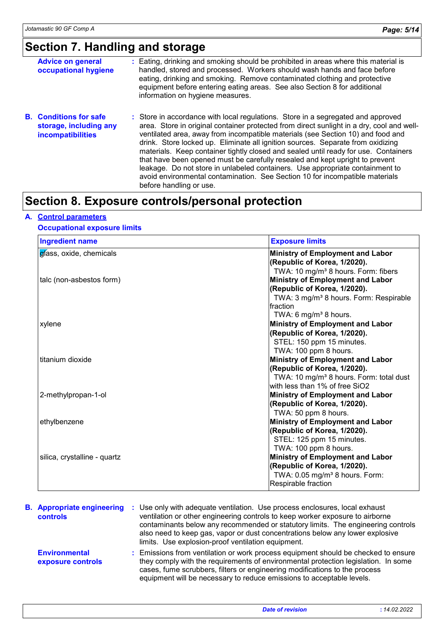# **Section 7. Handling and storage**

| <b>Advice on general</b><br>occupational hygiene                                    | : Eating, drinking and smoking should be prohibited in areas where this material is<br>handled, stored and processed. Workers should wash hands and face before<br>eating, drinking and smoking. Remove contaminated clothing and protective<br>equipment before entering eating areas. See also Section 8 for additional<br>information on hygiene measures.                                                                                                                                                                                                                                                                                                                                                          |
|-------------------------------------------------------------------------------------|------------------------------------------------------------------------------------------------------------------------------------------------------------------------------------------------------------------------------------------------------------------------------------------------------------------------------------------------------------------------------------------------------------------------------------------------------------------------------------------------------------------------------------------------------------------------------------------------------------------------------------------------------------------------------------------------------------------------|
| <b>B.</b> Conditions for safe<br>storage, including any<br><b>incompatibilities</b> | : Store in accordance with local regulations. Store in a segregated and approved<br>area. Store in original container protected from direct sunlight in a dry, cool and well-<br>ventilated area, away from incompatible materials (see Section 10) and food and<br>drink. Store locked up. Eliminate all ignition sources. Separate from oxidizing<br>materials. Keep container tightly closed and sealed until ready for use. Containers<br>that have been opened must be carefully resealed and kept upright to prevent<br>leakage. Do not store in unlabeled containers. Use appropriate containment to<br>avoid environmental contamination. See Section 10 for incompatible materials<br>before handling or use. |

### **Section 8. Exposure controls/personal protection**

#### **A. Control parameters**

#### **Occupational exposure limits**

| <b>Ingredient name</b>       | <b>Exposure limits</b>                              |
|------------------------------|-----------------------------------------------------|
| gíass, oxide, chemicals      | <b>Ministry of Employment and Labor</b>             |
|                              | (Republic of Korea, 1/2020).                        |
|                              | TWA: 10 mg/m <sup>3</sup> 8 hours. Form: fibers     |
| talc (non-asbestos form)     | <b>Ministry of Employment and Labor</b>             |
|                              | (Republic of Korea, 1/2020).                        |
|                              | TWA: 3 mg/m <sup>3</sup> 8 hours. Form: Respirable  |
|                              | Ifraction                                           |
|                              | TWA: 6 mg/m <sup>3</sup> 8 hours.                   |
| xylene                       | <b>Ministry of Employment and Labor</b>             |
|                              | (Republic of Korea, 1/2020).                        |
|                              | STEL: 150 ppm 15 minutes.                           |
|                              | TWA: 100 ppm 8 hours.                               |
| titanium dioxide             | <b>Ministry of Employment and Labor</b>             |
|                              | (Republic of Korea, 1/2020).                        |
|                              | TWA: 10 mg/m <sup>3</sup> 8 hours. Form: total dust |
|                              | with less than 1% of free SiO2                      |
| 2-methylpropan-1-ol          | <b>Ministry of Employment and Labor</b>             |
|                              | (Republic of Korea, 1/2020).                        |
|                              | TWA: 50 ppm 8 hours.                                |
| ethylbenzene                 | <b>Ministry of Employment and Labor</b>             |
|                              | (Republic of Korea, 1/2020).                        |
|                              | STEL: 125 ppm 15 minutes.                           |
|                              | TWA: 100 ppm 8 hours.                               |
| silica, crystalline - quartz | Ministry of Employment and Labor                    |
|                              | (Republic of Korea, 1/2020).                        |
|                              | TWA: 0.05 mg/m <sup>3</sup> 8 hours. Form:          |
|                              | Respirable fraction                                 |

| <b>B.</b> Appropriate engineering :<br>controls | Use only with adequate ventilation. Use process enclosures, local exhaust<br>ventilation or other engineering controls to keep worker exposure to airborne<br>contaminants below any recommended or statutory limits. The engineering controls<br>also need to keep gas, vapor or dust concentrations below any lower explosive<br>limits. Use explosion-proof ventilation equipment. |
|-------------------------------------------------|---------------------------------------------------------------------------------------------------------------------------------------------------------------------------------------------------------------------------------------------------------------------------------------------------------------------------------------------------------------------------------------|
| <b>Environmental</b><br>exposure controls       | : Emissions from ventilation or work process equipment should be checked to ensure<br>they comply with the requirements of environmental protection legislation. In some<br>cases, fume scrubbers, filters or engineering modifications to the process<br>equipment will be necessary to reduce emissions to acceptable levels.                                                       |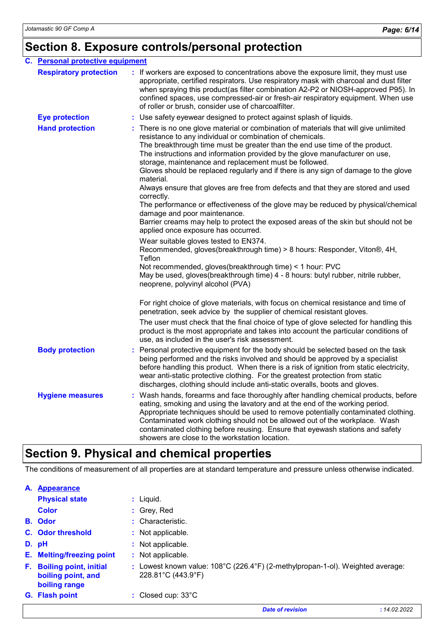# **Section 8. Exposure controls/personal protection**

| C.<br><b>Personal protective equipment</b> |                               |                                                                                                                                                                                                                                                                                                                                                                                                                                                                                                                                                                                                                                                                                                                                                                                                                                     |  |  |  |  |
|--------------------------------------------|-------------------------------|-------------------------------------------------------------------------------------------------------------------------------------------------------------------------------------------------------------------------------------------------------------------------------------------------------------------------------------------------------------------------------------------------------------------------------------------------------------------------------------------------------------------------------------------------------------------------------------------------------------------------------------------------------------------------------------------------------------------------------------------------------------------------------------------------------------------------------------|--|--|--|--|
|                                            | <b>Respiratory protection</b> | : If workers are exposed to concentrations above the exposure limit, they must use<br>appropriate, certified respirators. Use respiratory mask with charcoal and dust filter<br>when spraying this product(as filter combination A2-P2 or NIOSH-approved P95). In<br>confined spaces, use compressed-air or fresh-air respiratory equipment. When use<br>of roller or brush, consider use of charcoalfilter.                                                                                                                                                                                                                                                                                                                                                                                                                        |  |  |  |  |
|                                            | <b>Eye protection</b>         | : Use safety eyewear designed to protect against splash of liquids.                                                                                                                                                                                                                                                                                                                                                                                                                                                                                                                                                                                                                                                                                                                                                                 |  |  |  |  |
|                                            | <b>Hand protection</b>        | : There is no one glove material or combination of materials that will give unlimited<br>resistance to any individual or combination of chemicals.<br>The breakthrough time must be greater than the end use time of the product.<br>The instructions and information provided by the glove manufacturer on use,<br>storage, maintenance and replacement must be followed.<br>Gloves should be replaced regularly and if there is any sign of damage to the glove<br>material.<br>Always ensure that gloves are free from defects and that they are stored and used<br>correctly.<br>The performance or effectiveness of the glove may be reduced by physical/chemical<br>damage and poor maintenance.<br>Barrier creams may help to protect the exposed areas of the skin but should not be<br>applied once exposure has occurred. |  |  |  |  |
|                                            |                               | Wear suitable gloves tested to EN374.<br>Recommended, gloves(breakthrough time) > 8 hours: Responder, Viton®, 4H,<br>Teflon<br>Not recommended, gloves(breakthrough time) < 1 hour: PVC<br>May be used, gloves(breakthrough time) 4 - 8 hours: butyl rubber, nitrile rubber,<br>neoprene, polyvinyl alcohol (PVA)                                                                                                                                                                                                                                                                                                                                                                                                                                                                                                                   |  |  |  |  |
|                                            |                               | For right choice of glove materials, with focus on chemical resistance and time of<br>penetration, seek advice by the supplier of chemical resistant gloves.                                                                                                                                                                                                                                                                                                                                                                                                                                                                                                                                                                                                                                                                        |  |  |  |  |
|                                            |                               | The user must check that the final choice of type of glove selected for handling this<br>product is the most appropriate and takes into account the particular conditions of<br>use, as included in the user's risk assessment.                                                                                                                                                                                                                                                                                                                                                                                                                                                                                                                                                                                                     |  |  |  |  |
|                                            | <b>Body protection</b>        | Personal protective equipment for the body should be selected based on the task<br>being performed and the risks involved and should be approved by a specialist<br>before handling this product. When there is a risk of ignition from static electricity,<br>wear anti-static protective clothing. For the greatest protection from static<br>discharges, clothing should include anti-static overalls, boots and gloves.                                                                                                                                                                                                                                                                                                                                                                                                         |  |  |  |  |
|                                            | <b>Hygiene measures</b>       | Wash hands, forearms and face thoroughly after handling chemical products, before<br>eating, smoking and using the lavatory and at the end of the working period.<br>Appropriate techniques should be used to remove potentially contaminated clothing.<br>Contaminated work clothing should not be allowed out of the workplace. Wash<br>contaminated clothing before reusing. Ensure that eyewash stations and safety<br>showers are close to the workstation location.                                                                                                                                                                                                                                                                                                                                                           |  |  |  |  |

# **Section 9. Physical and chemical properties**

The conditions of measurement of all properties are at standard temperature and pressure unless otherwise indicated.

| A. | <b>Appearance</b>                                                    |                                                                                                              |
|----|----------------------------------------------------------------------|--------------------------------------------------------------------------------------------------------------|
|    | <b>Physical state</b>                                                | $:$ Liquid.                                                                                                  |
|    | <b>Color</b>                                                         | $:$ Grey, Red                                                                                                |
|    | <b>B.</b> Odor                                                       | $:$ Characteristic.                                                                                          |
|    | <b>C.</b> Odor threshold                                             | : Not applicable.                                                                                            |
|    | D. pH                                                                | Not applicable.                                                                                              |
|    | E. Melting/freezing point                                            | : Not applicable.                                                                                            |
| F. | <b>Boiling point, initial</b><br>boiling point, and<br>boiling range | Lowest known value: 108°C (226.4°F) (2-methylpropan-1-ol). Weighted average:<br>$228.81^{\circ}$ C (443.9°F) |
|    | G. Flash point                                                       | : Closed cup: $33^{\circ}$ C                                                                                 |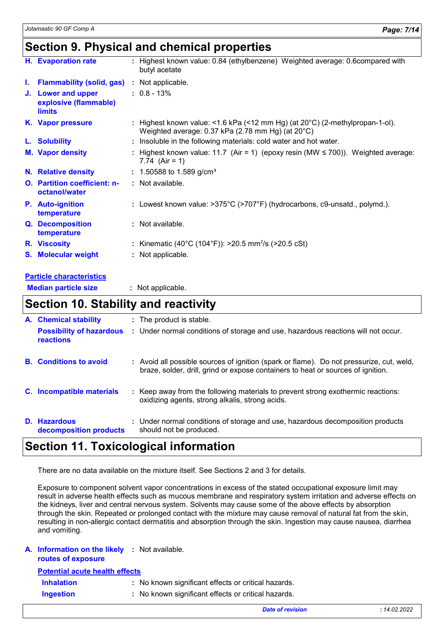### **Section 9. Physical and chemical properties**

|    | H. Evaporation rate                                          | : Highest known value: 0.84 (ethylbenzene) Weighted average: 0.6compared with<br>butyl acetate                                              |
|----|--------------------------------------------------------------|---------------------------------------------------------------------------------------------------------------------------------------------|
| J. | <b>Flammability (solid, gas)</b>                             | : Not applicable.                                                                                                                           |
|    | J. Lower and upper<br>explosive (flammable)<br><b>limits</b> | $: 0.8 - 13\%$                                                                                                                              |
|    | K. Vapor pressure                                            | : Highest known value: <1.6 kPa (<12 mm Hg) (at $20^{\circ}$ C) (2-methylpropan-1-ol).<br>Weighted average: 0.37 kPa (2.78 mm Hg) (at 20°C) |
|    | L. Solubility                                                | : Insoluble in the following materials: cold water and hot water.                                                                           |
|    | <b>M. Vapor density</b>                                      | : Highest known value: 11.7 (Air = 1) (epoxy resin (MW $\leq$ 700)). Weighted average:<br>7.74 $(Air = 1)$                                  |
|    | N. Relative density                                          | $: 1.50588$ to 1.589 g/cm <sup>3</sup>                                                                                                      |
|    | <b>O.</b> Partition coefficient: n-<br>octanol/water         | : Not available.                                                                                                                            |
|    | <b>P.</b> Auto-ignition<br>temperature                       | : Lowest known value: $>375^{\circ}$ C ( $>707^{\circ}$ F) (hydrocarbons, c9-unsatd., polymd.).                                             |
|    | Q. Decomposition<br>temperature                              | : Not available.                                                                                                                            |
|    | R. Viscosity                                                 | : Kinematic (40°C (104°F)): >20.5 mm <sup>2</sup> /s (>20.5 cSt)                                                                            |
|    | S. Molecular weight                                          | : Not applicable.                                                                                                                           |
|    | __________                                                   |                                                                                                                                             |

#### **Particle characteristics**

**Median particle size :** Not applicable.

### **Section 10. Stability and reactivity**

| <b>A.</b> Chemical stability                        | : The product is stable.                                                                                                                                                     |
|-----------------------------------------------------|------------------------------------------------------------------------------------------------------------------------------------------------------------------------------|
| <b>Possibility of hazardous</b><br><b>reactions</b> | : Under normal conditions of storage and use, hazardous reactions will not occur.                                                                                            |
| <b>B.</b> Conditions to avoid                       | : Avoid all possible sources of ignition (spark or flame). Do not pressurize, cut, weld,<br>braze, solder, drill, grind or expose containers to heat or sources of ignition. |
| C. Incompatible materials                           | : Keep away from the following materials to prevent strong exothermic reactions:<br>oxidizing agents, strong alkalis, strong acids.                                          |
| D. Hazardous<br>decomposition products              | : Under normal conditions of storage and use, hazardous decomposition products<br>should not be produced.                                                                    |

### **Section 11. Toxicological information**

There are no data available on the mixture itself. See Sections 2 and 3 for details.

Exposure to component solvent vapor concentrations in excess of the stated occupational exposure limit may result in adverse health effects such as mucous membrane and respiratory system irritation and adverse effects on the kidneys, liver and central nervous system. Solvents may cause some of the above effects by absorption through the skin. Repeated or prolonged contact with the mixture may cause removal of natural fat from the skin, resulting in non-allergic contact dermatitis and absorption through the skin. Ingestion may cause nausea, diarrhea and vomiting.

#### **A. Information on the likely :** Not available.

| routes of exposure |  |
|--------------------|--|
|--------------------|--|

**Potential acute health effects**

| <b>Inhalation</b> | : No known significant effects or critical hazards. |
|-------------------|-----------------------------------------------------|
|                   |                                                     |

**Ingestion :** No known significant effects or critical hazards.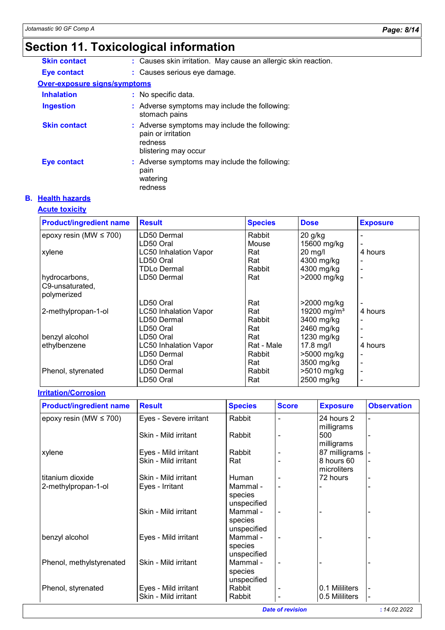# **Section 11. Toxicological information**

| <b>Skin contact</b>          | : Causes skin irritation. May cause an allergic skin reaction.                                         |  |  |  |  |
|------------------------------|--------------------------------------------------------------------------------------------------------|--|--|--|--|
| <b>Eye contact</b>           | : Causes serious eye damage.                                                                           |  |  |  |  |
| Over-exposure signs/symptoms |                                                                                                        |  |  |  |  |
| <b>Inhalation</b>            | : No specific data.                                                                                    |  |  |  |  |
| <b>Ingestion</b>             | : Adverse symptoms may include the following:<br>stomach pains                                         |  |  |  |  |
| <b>Skin contact</b>          | : Adverse symptoms may include the following:<br>pain or irritation<br>redness<br>blistering may occur |  |  |  |  |
| <b>Eye contact</b>           | : Adverse symptoms may include the following:<br>pain<br>watering<br>redness                           |  |  |  |  |

#### **B. Health hazards**

#### **Acute toxicity**

| <b>Product/ingredient name</b> | <b>Result</b>                | <b>Species</b> | <b>Dose</b>             | <b>Exposure</b>          |
|--------------------------------|------------------------------|----------------|-------------------------|--------------------------|
| epoxy resin (MW $\leq$ 700)    | LD50 Dermal                  | Rabbit         | $20$ g/kg               |                          |
|                                | LD50 Oral                    | Mouse          | 15600 mg/kg             |                          |
| xylene                         | <b>LC50 Inhalation Vapor</b> | Rat            | $20$ mg/l               | 4 hours                  |
|                                | LD50 Oral                    | Rat            | 4300 mg/kg              |                          |
|                                | TDLo Dermal                  | Rabbit         | 4300 mg/kg              | ٠                        |
| hydrocarbons,                  | LD50 Dermal                  | Rat            | >2000 mg/kg             |                          |
| C9-unsaturated,                |                              |                |                         |                          |
| polymerized                    |                              |                |                         |                          |
|                                | LD50 Oral                    | Rat            | >2000 mg/kg             | $\blacksquare$           |
| 2-methylpropan-1-ol            | <b>LC50 Inhalation Vapor</b> | Rat            | 19200 mg/m <sup>3</sup> | 4 hours                  |
|                                | LD50 Dermal                  | Rabbit         | 3400 mg/kg              |                          |
|                                | LD50 Oral                    | Rat            | 2460 mg/kg              | $\blacksquare$           |
| benzyl alcohol                 | LD50 Oral                    | Rat            | 1230 mg/kg              | $\overline{\phantom{a}}$ |
| ethylbenzene                   | <b>LC50 Inhalation Vapor</b> | Rat - Male     | $17.8$ mg/l             | 4 hours                  |
|                                | LD50 Dermal                  | Rabbit         | >5000 mg/kg             |                          |
|                                | LD50 Oral                    | Rat            | 3500 mg/kg              | $\blacksquare$           |
| Phenol, styrenated             | LD50 Dermal                  | Rabbit         | >5010 mg/kg             | $\blacksquare$           |
|                                | LD50 Oral                    | Rat            | 2500 mg/kg              | $\overline{\phantom{a}}$ |

#### **Irritation/Corrosion**

| <b>Product/ingredient name</b> | <b>Result</b>          | <b>Species</b>                     | <b>Score</b> | <b>Exposure</b>                 | <b>Observation</b> |
|--------------------------------|------------------------|------------------------------------|--------------|---------------------------------|--------------------|
| epoxy resin (MW $\leq$ 700)    | Eyes - Severe irritant | Rabbit                             |              | 24 hours 2                      |                    |
|                                | Skin - Mild irritant   | Rabbit                             |              | milligrams<br>500<br>milligrams |                    |
| xylene                         | Eyes - Mild irritant   | Rabbit                             |              | 87 milligrams                   |                    |
|                                | Skin - Mild irritant   | Rat                                |              | 8 hours 60<br>microliters       |                    |
| titanium dioxide               | Skin - Mild irritant   | <b>Human</b>                       |              | 72 hours                        |                    |
| 2-methylpropan-1-ol            | Eyes - Irritant        | Mammal -<br>species<br>unspecified |              |                                 |                    |
|                                | Skin - Mild irritant   | Mammal -<br>species<br>unspecified | ۰            |                                 |                    |
| benzyl alcohol                 | Eyes - Mild irritant   | Mammal -<br>species<br>unspecified |              |                                 |                    |
| Phenol, methylstyrenated       | Skin - Mild irritant   | Mammal -<br>species                |              |                                 |                    |
|                                |                        | unspecified                        |              |                                 |                    |
| Phenol, styrenated             | Eyes - Mild irritant   | Rabbit                             |              | 0.1 Mililiters                  |                    |
|                                | Skin - Mild irritant   | Rabbit                             |              | 0.5 Mililiters                  |                    |

*Date of revision* **:** *14.02.2022*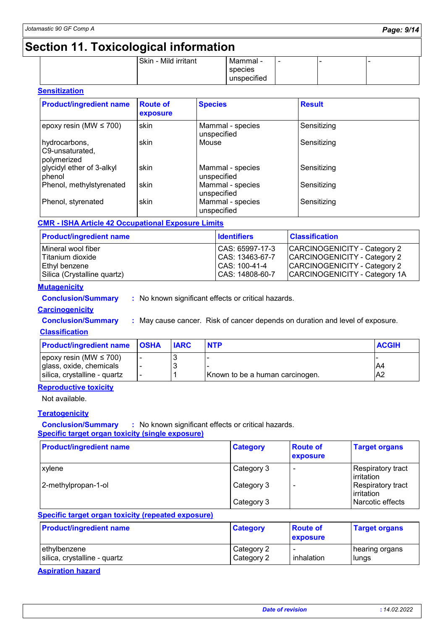### **Section 11. Toxicological information**

|  | -                    |             |  |  |
|--|----------------------|-------------|--|--|
|  | Skin - Mild irritant | Mammal -    |  |  |
|  |                      | species     |  |  |
|  |                      | unspecified |  |  |
|  |                      |             |  |  |

#### **Sensitization**

| <b>Product/ingredient name</b>                  | <b>Route of</b><br>exposure | <b>Species</b>                  | <b>Result</b> |
|-------------------------------------------------|-----------------------------|---------------------------------|---------------|
| epoxy resin (MW $\leq$ 700)                     | skin                        | Mammal - species<br>unspecified | Sensitizing   |
| hydrocarbons,<br>C9-unsaturated,<br>polymerized | skin                        | Mouse                           | Sensitizing   |
| glycidyl ether of 3-alkyl<br>phenol             | skin                        | Mammal - species<br>unspecified | Sensitizing   |
| Phenol, methylstyrenated                        | skin                        | Mammal - species<br>unspecified | Sensitizing   |
| Phenol, styrenated                              | skin                        | Mammal - species<br>unspecified | Sensitizing   |

#### **CMR - ISHA Article 42 Occupational Exposure Limits**

| <b>Product/ingredient name</b> | <b>Identifiers</b> | <b>Classification</b>         |
|--------------------------------|--------------------|-------------------------------|
| Mineral wool fiber             | CAS: 65997-17-3    | CARCINOGENICITY - Category 2  |
| Titanium dioxide               | CAS: 13463-67-7    | CARCINOGENICITY - Category 2  |
| Ethyl benzene                  | CAS: 100-41-4      | CARCINOGENICITY - Category 2  |
| Silica (Crystalline quartz)    | CAS: 14808-60-7    | CARCINOGENICITY - Category 1A |

#### **Mutagenicity**

**Conclusion/Summary :** No known significant effects or critical hazards.

#### **Carcinogenicity**

**Conclusion/Summary :** May cause cancer. Risk of cancer depends on duration and level of exposure.

#### **Classification**

| <b>Product/ingredient name OSHA</b> | <b>IARC</b> | <b>NTP</b>                      | <b>ACGIH</b>   |
|-------------------------------------|-------------|---------------------------------|----------------|
| epoxy resin (MW $\leq$ 700)         |             |                                 |                |
| glass, oxide, chemicals             |             |                                 | A4             |
| silica, crystalline - quartz        |             | Known to be a human carcinogen. | A <sub>2</sub> |

#### **Reproductive toxicity**

Not available.

#### **Teratogenicity**

**Conclusion/Summary :** No known significant effects or critical hazards. **Specific target organ toxicity (single exposure)**

| <b>Product/ingredient name</b> | <b>Category</b> | <b>Route of</b><br>exposure | <b>Target organs</b>                           |
|--------------------------------|-----------------|-----------------------------|------------------------------------------------|
| xylene                         | Category 3      | $\overline{\phantom{a}}$    | Respiratory tract_<br>l irritation             |
| 2-methylpropan-1-ol            | Category 3      |                             | <b>Respiratory tract</b><br><b>lirritation</b> |
|                                | Category 3      |                             | Narcotic effects                               |

#### **Specific target organ toxicity (repeated exposure)**

| <b>Product/ingredient name</b> | <b>Category</b> | <b>Route of</b><br>exposure | <b>Target organs</b> |
|--------------------------------|-----------------|-----------------------------|----------------------|
| lethvlbenzene                  | Category 2      | $\overline{\phantom{0}}$    | hearing organs       |
| silica, crystalline - quartz   | Category 2      | inhalation                  | lungs                |

#### **Aspiration hazard**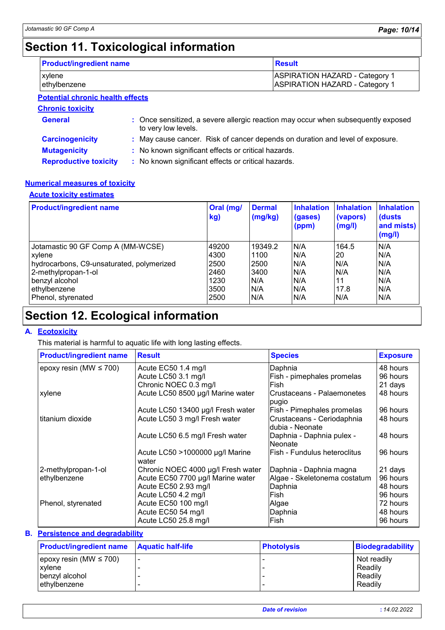# **Section 11. Toxicological information**

| <b>Product/ingredient name</b>   | <b>Result</b>                                                                  |
|----------------------------------|--------------------------------------------------------------------------------|
| xylene<br>ethylbenzene           | <b>ASPIRATION HAZARD - Category 1</b><br><b>ASPIRATION HAZARD - Category 1</b> |
| Detential ebresia health effects |                                                                                |

#### **Potential chronic health effects**

**Chronic toxicity**

| <b>General</b>               | : Once sensitized, a severe allergic reaction may occur when subsequently exposed<br>to very low levels. |
|------------------------------|----------------------------------------------------------------------------------------------------------|
| <b>Carcinogenicity</b>       | : May cause cancer. Risk of cancer depends on duration and level of exposure.                            |
| <b>Mutagenicity</b>          | : No known significant effects or critical hazards.                                                      |
| <b>Reproductive toxicity</b> | : No known significant effects or critical hazards.                                                      |

#### **Numerical measures of toxicity**

#### **Acute toxicity estimates**

| <b>Product/ingredient name</b>            | Oral (mg/<br>kg) | <b>Dermal</b><br>(mg/kg) | <b>Inhalation</b><br>(gases)<br>(ppm) | <b>Inhalation</b><br>(vapors)<br>(mg/l) | <b>Inhalation</b><br>(dusts)<br>and mists)<br>(mg/l) |
|-------------------------------------------|------------------|--------------------------|---------------------------------------|-----------------------------------------|------------------------------------------------------|
| Jotamastic 90 GF Comp A (MM-WCSE)         | 49200            | 19349.2                  | N/A                                   | 164.5                                   | N/A                                                  |
| xylene                                    | 4300             | 1100                     | N/A                                   | 20                                      | N/A                                                  |
| hydrocarbons, C9-unsaturated, polymerized | 2500             | 2500                     | N/A                                   | N/A                                     | N/A                                                  |
| 2-methylpropan-1-ol                       | 2460             | 3400                     | N/A                                   | N/A                                     | N/A                                                  |
| benzyl alcohol                            | 1230             | N/A                      | N/A                                   | 11                                      | N/A                                                  |
| ethylbenzene                              | 3500             | N/A                      | N/A                                   | 17.8                                    | N/A                                                  |
| Phenol, styrenated                        | 2500             | N/A                      | N/A                                   | N/A                                     | N/A                                                  |

# **Section 12. Ecological information**

#### **A. Ecotoxicity**

This material is harmful to aquatic life with long lasting effects.

| <b>Product/ingredient name</b> | <b>Result</b>                            | <b>Species</b>                                 | <b>Exposure</b> |
|--------------------------------|------------------------------------------|------------------------------------------------|-----------------|
| epoxy resin (MW $\leq$ 700)    | Acute EC50 1.4 mg/l                      | Daphnia                                        | 48 hours        |
|                                | Acute LC50 3.1 mg/l                      | Fish - pimephales promelas                     | 96 hours        |
|                                | Chronic NOEC 0.3 mg/l                    | Fish                                           | 21 days         |
| xylene                         | Acute LC50 8500 µg/l Marine water        | Crustaceans - Palaemonetes<br>pugio            | 48 hours        |
|                                | Acute LC50 13400 µg/l Fresh water        | Fish - Pimephales promelas                     | 96 hours        |
| titanium dioxide               | Acute LC50 3 mg/l Fresh water            | Crustaceans - Ceriodaphnia<br>Idubia - Neonate | 48 hours        |
|                                | Acute LC50 6.5 mg/l Fresh water          | Daphnia - Daphnia pulex -<br>Neonate           | 48 hours        |
|                                | Acute LC50 >1000000 µg/l Marine<br>water | lFish - Fundulus heteroclitus                  | 96 hours        |
| 2-methylpropan-1-ol            | Chronic NOEC 4000 µg/l Fresh water       | Daphnia - Daphnia magna                        | 21 days         |
| ethylbenzene                   | Acute EC50 7700 µg/l Marine water        | Algae - Skeletonema costatum                   | 96 hours        |
|                                | Acute EC50 2.93 mg/l                     | Daphnia                                        | 48 hours        |
|                                | Acute LC50 4.2 mg/l                      | lFish.                                         | 96 hours        |
| Phenol, styrenated             | Acute EC50 100 mg/l                      | Algae                                          | 72 hours        |
|                                | Acute EC50 54 mg/l                       | Daphnia                                        | 48 hours        |
|                                | Acute LC50 25.8 mg/l                     | lFish.                                         | 96 hours        |
|                                |                                          |                                                |                 |

#### **Persistence and degradability B.**

| <b>Product/ingredient name</b> Aquatic half-life | <b>Photolysis</b> | <b>Biodegradability</b> |
|--------------------------------------------------|-------------------|-------------------------|
| epoxy resin (MW $\leq 700$ )                     |                   | Not readily             |
| xylene                                           |                   | Readily                 |
| benzyl alcohol                                   |                   | Readily                 |
| ethylbenzene                                     |                   | Readily                 |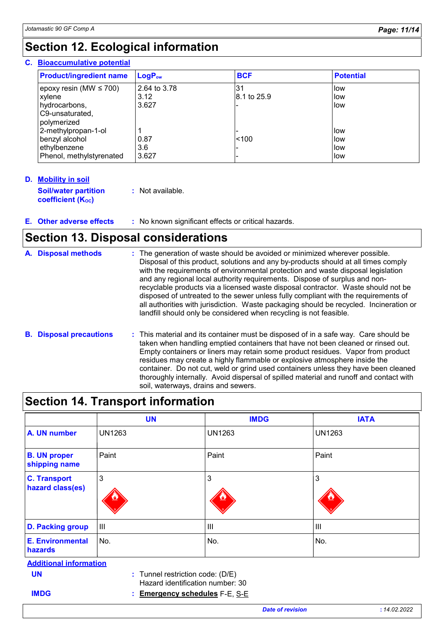# **Section 12. Ecological information**

#### **Bioaccumulative potential C.**

| <b>Product/ingredient name</b> | $LogP_{ow}$  | <b>BCF</b>  | <b>Potential</b> |
|--------------------------------|--------------|-------------|------------------|
| epoxy resin (MW $\leq$ 700)    | 2.64 to 3.78 | 31          | low              |
| xylene                         | 3.12         | 8.1 to 25.9 | llow             |
| hydrocarbons,                  | 3.627        |             | low              |
| C9-unsaturated,<br>polymerized |              |             |                  |
| 2-methylpropan-1-ol            |              |             | llow             |
| benzyl alcohol                 | 0.87         | < 100       | llow             |
| ethylbenzene                   | 3.6          |             | low              |
| Phenol, methylstyrenated       | 3.627        |             | llow             |

#### **Mobility in soil D. Soil/water partition coefficient (Koc)**

**:** Not available.

**Other adverse effects :** No known significant effects or critical hazards. **E.**

### **Section 13. Disposal considerations**

| A. Disposal methods            | : The generation of waste should be avoided or minimized wherever possible.<br>Disposal of this product, solutions and any by-products should at all times comply<br>with the requirements of environmental protection and waste disposal legislation<br>and any regional local authority requirements. Dispose of surplus and non-<br>recyclable products via a licensed waste disposal contractor. Waste should not be<br>disposed of untreated to the sewer unless fully compliant with the requirements of<br>all authorities with jurisdiction. Waste packaging should be recycled. Incineration or<br>landfill should only be considered when recycling is not feasible. |
|--------------------------------|--------------------------------------------------------------------------------------------------------------------------------------------------------------------------------------------------------------------------------------------------------------------------------------------------------------------------------------------------------------------------------------------------------------------------------------------------------------------------------------------------------------------------------------------------------------------------------------------------------------------------------------------------------------------------------|
| <b>B.</b> Disposal precautions | : This material and its container must be disposed of in a safe way. Care should be<br>taken when handling emptied containers that have not been cleaned or rinsed out.<br>Empty containers or liners may retain some product residues. Vapor from product<br>residues may create a highly flammable or explosive atmosphere inside the<br>container. Do not cut, weld or grind used containers unless they have been cleaned<br>thoroughly internally. Avoid dispersal of spilled material and runoff and contact with<br>soil, waterways, drains and sewers.                                                                                                                 |

|                                         | <b>UN</b>     | <b>IMDG</b>                                                            | <b>IATA</b>   |
|-----------------------------------------|---------------|------------------------------------------------------------------------|---------------|
| A. UN number                            | <b>UN1263</b> | <b>UN1263</b>                                                          | <b>UN1263</b> |
| <b>B. UN proper</b><br>shipping name    | Paint         | Paint                                                                  | Paint         |
| <b>C. Transport</b><br>hazard class(es) | 3             | 3                                                                      | 3             |
| <b>D. Packing group</b>                 | III           | III                                                                    | III           |
| E. Environmental<br>hazards             | No.           | No.                                                                    | No.           |
| <b>Additional information</b>           |               |                                                                        |               |
| <b>UN</b>                               |               | $:$ Tunnel restriction code: (D/E)<br>Hazard identification number: 30 |               |
| <b>IMDG</b>                             | t             | <b>Emergency schedules F-E, S-E</b>                                    |               |
|                                         |               | <b>Date of revision</b>                                                | : 14.02.2022  |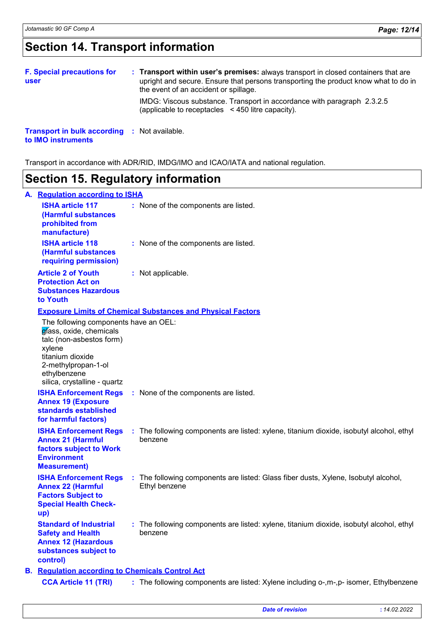# **Section 14. Transport information**

| <b>F. Special precautions for</b><br>user           |  | : Transport within user's premises: always transport in closed containers that are<br>upright and secure. Ensure that persons transporting the product know what to do in<br>the event of an accident or spillage. |
|-----------------------------------------------------|--|--------------------------------------------------------------------------------------------------------------------------------------------------------------------------------------------------------------------|
|                                                     |  | IMDG: Viscous substance. Transport in accordance with paragraph 2.3.2.5<br>(applicable to receptacles <450 litre capacity).                                                                                        |
| <b>Transport in bulk according : Not available.</b> |  |                                                                                                                                                                                                                    |

**to IMO instruments**

Transport in accordance with ADR/RID, IMDG/IMO and ICAO/IATA and national regulation.

# **Section 15. Regulatory information**

| А. | <b>Regulation according to ISHA</b>                                                                                                                                                               |  |                                                                                                      |  |  |
|----|---------------------------------------------------------------------------------------------------------------------------------------------------------------------------------------------------|--|------------------------------------------------------------------------------------------------------|--|--|
|    | <b>ISHA article 117</b><br>(Harmful substances<br>prohibited from<br>manufacture)                                                                                                                 |  | : None of the components are listed.                                                                 |  |  |
|    | <b>ISHA article 118</b><br>(Harmful substances<br>requiring permission)                                                                                                                           |  | : None of the components are listed.                                                                 |  |  |
|    | <b>Article 2 of Youth</b><br><b>Protection Act on</b><br><b>Substances Hazardous</b><br>to Youth                                                                                                  |  | : Not applicable.                                                                                    |  |  |
|    |                                                                                                                                                                                                   |  | <b>Exposure Limits of Chemical Substances and Physical Factors</b>                                   |  |  |
|    | The following components have an OEL:<br>glass, oxide, chemicals<br>talc (non-asbestos form)<br>xylene<br>titanium dioxide<br>2-methylpropan-1-ol<br>ethylbenzene<br>silica, crystalline - quartz |  |                                                                                                      |  |  |
|    | <b>ISHA Enforcement Regs</b><br><b>Annex 19 (Exposure</b><br>standards established<br>for harmful factors)                                                                                        |  | : None of the components are listed.                                                                 |  |  |
|    | <b>ISHA Enforcement Regs</b><br><b>Annex 21 (Harmful</b><br>factors subject to Work<br><b>Environment</b><br><b>Measurement)</b>                                                                  |  | : The following components are listed: xylene, titanium dioxide, isobutyl alcohol, ethyl<br>benzene  |  |  |
|    | <b>ISHA Enforcement Regs</b><br><b>Annex 22 (Harmful</b><br><b>Factors Subject to</b><br><b>Special Health Check-</b><br>up)                                                                      |  | : The following components are listed: Glass fiber dusts, Xylene, Isobutyl alcohol,<br>Ethyl benzene |  |  |
|    | <b>Standard of Industrial</b><br><b>Safety and Health</b><br><b>Annex 12 (Hazardous</b><br>substances subject to<br>control)                                                                      |  | : The following components are listed: xylene, titanium dioxide, isobutyl alcohol, ethyl<br>benzene  |  |  |
|    | <b>B.</b> Regulation according to Chemicals Control Act                                                                                                                                           |  |                                                                                                      |  |  |
|    | <b>CCA Article 11 (TRI)</b>                                                                                                                                                                       |  | : The following components are listed: Xylene including o-,m-,p- isomer, Ethylbenzene                |  |  |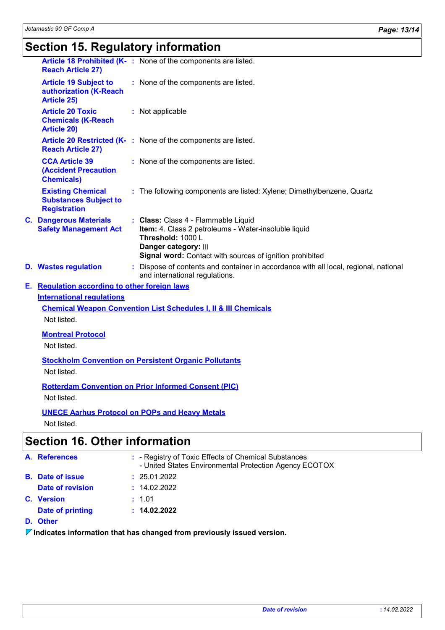| <b>Reach Article 27)</b>                                                        |  | Article 18 Prohibited (K-: None of the components are listed.                                                                                                                                        |  |  |
|---------------------------------------------------------------------------------|--|------------------------------------------------------------------------------------------------------------------------------------------------------------------------------------------------------|--|--|
| <b>Article 19 Subject to</b><br>authorization (K-Reach<br><b>Article 25)</b>    |  | : None of the components are listed.                                                                                                                                                                 |  |  |
| <b>Article 20 Toxic</b><br><b>Chemicals (K-Reach</b><br><b>Article 20)</b>      |  | : Not applicable                                                                                                                                                                                     |  |  |
| <b>Reach Article 27)</b>                                                        |  | Article 20 Restricted (K-: None of the components are listed.                                                                                                                                        |  |  |
| <b>CCA Article 39</b><br><b>(Accident Precaution</b><br><b>Chemicals)</b>       |  | : None of the components are listed.                                                                                                                                                                 |  |  |
| <b>Existing Chemical</b><br><b>Substances Subject to</b><br><b>Registration</b> |  | : The following components are listed: Xylene; Dimethylbenzene, Quartz                                                                                                                               |  |  |
| <b>C. Dangerous Materials</b><br><b>Safety Management Act</b>                   |  | : Class: Class 4 - Flammable Liquid<br>Item: 4. Class 2 petroleums - Water-insoluble liquid<br>Threshold: 1000 L<br>Danger category: III<br>Signal word: Contact with sources of ignition prohibited |  |  |
| <b>D.</b> Wastes regulation                                                     |  | Dispose of contents and container in accordance with all local, regional, national<br>and international regulations.                                                                                 |  |  |
| E. Regulation according to other foreign laws                                   |  |                                                                                                                                                                                                      |  |  |
| <b>International regulations</b>                                                |  |                                                                                                                                                                                                      |  |  |
|                                                                                 |  | <b>Chemical Weapon Convention List Schedules I, II &amp; III Chemicals</b>                                                                                                                           |  |  |
| Not listed.                                                                     |  |                                                                                                                                                                                                      |  |  |
| <b>Montreal Protocol</b>                                                        |  |                                                                                                                                                                                                      |  |  |
| Not listed.                                                                     |  |                                                                                                                                                                                                      |  |  |
| <b>Stockholm Convention on Persistent Organic Pollutants</b>                    |  |                                                                                                                                                                                                      |  |  |
| Not listed.                                                                     |  |                                                                                                                                                                                                      |  |  |
|                                                                                 |  | <b>Rotterdam Convention on Prior Informed Consent (PIC)</b>                                                                                                                                          |  |  |
| Not listed.                                                                     |  |                                                                                                                                                                                                      |  |  |
|                                                                                 |  | <b>UNECE Aarhus Protocol on POPs and Heavy Metals</b>                                                                                                                                                |  |  |
| Not listed.                                                                     |  |                                                                                                                                                                                                      |  |  |
| <b>Section 16. Other information</b>                                            |  |                                                                                                                                                                                                      |  |  |
|                                                                                 |  |                                                                                                                                                                                                      |  |  |

#### **Date of printing Version C. : :** 1.01 **:** 14.02.2022 **A. References :** - Registry of Toxic Effects of Chemical Substances - United States Environmental Protection Agency ECOTOX **B. Date of issue :** 25.01.2022 **D. Other Date of revision**

#### **Indicates information that has changed from previously issued version.**